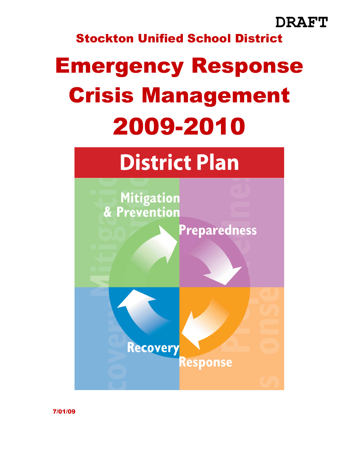### **DRAFT**

### Stockton Unified School District

# Emergency Response Crisis Management 2009-2010

# **District Plan**



7/01/09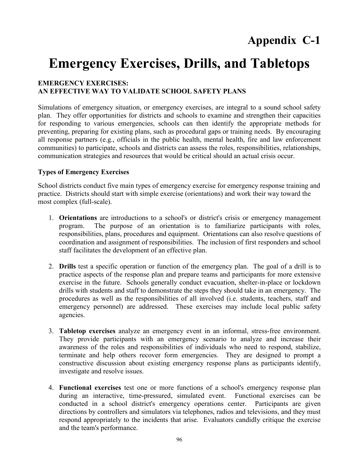### **Appendix C-1**

### **Emergency Exercises, Drills, and Tabletops**

#### **EMERGENCY EXERCISES: AN EFFECTIVE WAY TO VALIDATE SCHOOL SAFETY PLANS**

Simulations of emergency situation, or emergency exercises, are integral to a sound school safety plan. They offer opportunities for districts and schools to examine and strengthen their capacities for responding to various emergencies, schools can then identify the appropriate methods for preventing, preparing for existing plans, such as procedural gaps or training needs. By encouraging all response partners (e.g., officials in the public health, mental health, fire and law enforcement communities) to participate, schools and districts can assess the roles, responsibilities, relationships, communication strategies and resources that would be critical should an actual crisis occur.

#### **Types of Emergency Exercises**

School districts conduct five main types of emergency exercise for emergency response training and practice. Districts should start with simple exercise (orientations) and work their way toward the most complex (full-scale).

- 1. **Orientations** are introductions to a school's or district's crisis or emergency management program. The purpose of an orientation is to familiarize participants with roles, responsibilities, plans, procedures and equipment. Orientations can also resolve questions of coordination and assignment of responsibilities. The inclusion of first responders and school staff facilitates the development of an effective plan.
- 2. **Drills** test a specific operation or function of the emergency plan. The goal of a drill is to practice aspects of the response plan and prepare teams and participants for more extensive exercise in the future. Schools generally conduct evacuation, shelter-in-place or lockdown drills with students and staff to demonstrate the steps they should take in an emergency. The procedures as well as the responsibilities of all involved (i.e. students, teachers, staff and emergency personnel) are addressed. These exercises may include local public safety agencies.
- 3. **Tabletop exercises** analyze an emergency event in an informal, stress-free environment. They provide participants with an emergency scenario to analyze and increase their awareness of the roles and responsibilities of individuals who need to respond, stabilize, terminate and help others recover form emergencies. They are designed to prompt a constructive discussion about existing emergency response plans as participants identify, investigate and resolve issues.
- 4. **Functional exercises** test one or more functions of a school's emergency response plan during an interactive, time-pressured, simulated event. Functional exercises can be conducted in a school district's emergency operations center. Participants are given directions by controllers and simulators via telephones, radios and televisions, and they must respond appropriately to the incidents that arise. Evaluators candidly critique the exercise and the team's performance.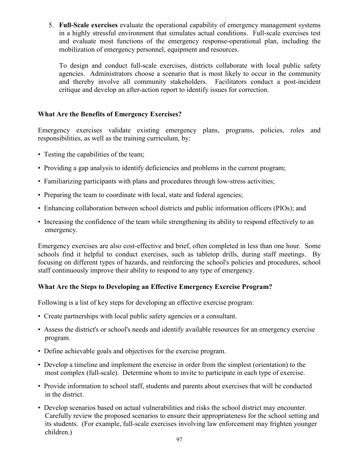5. **Full-Scale exercises** evaluate the operational capability of emergency management systems in a highly stressful environment that simulates actual conditions. Full-scale exercises test and evaluate most functions of the emergency response-operational plan, including the mobilization of emergency personnel, equipment and resources.

To design and conduct full-scale exercises, districts collaborate with local public safety agencies. Administrators choose a scenario that is most likely to occur in the community and thereby involve all community stakeholders. Facilitators conduct a post-incident critique and develop an after-action report to identify issues for correction.

#### **What Are the Benefits of Emergency Exercises?**

Emergency exercises validate existing emergency plans, programs, policies, roles and responsibilities, as well as the training curriculum, by:

- Testing the capabilities of the team;
- Providing a gap analysis to identify deficiencies and problems in the current program;
- Familiarizing participants with plans and procedures through low-stress activities;
- Preparing the team to coordinate with local, state and federal agencies;
- Enhancing collaboration between school districts and public information officers (PIOs); and
- Increasing the confidence of the team while strengthening its ability to respond effectively to an emergency.

Emergency exercises are also cost-effective and brief, often completed in less than one hour. Some schools find it helpful to conduct exercises, such as tabletop drills, during staff meetings. By focusing on different types of hazards, and reinforcing the school's policies and procedures, school staff continuously improve their ability to respond to any type of emergency.

#### **What Are the Steps to Developing an Effective Emergency Exercise Program?**

Following is a list of key steps for developing an effective exercise program:

- Create partnerships with local public safety agencies or a consultant.
- Assess the district's or school's needs and identify available resources for an emergency exercise program.
- Define achievable goals and objectives for the exercise program.
- Develop a timeline and implement the exercise in order from the simplest (orientation) to the most complex (full-scale). Determine whom to invite to participate in each type of exercise.
- Provide information to school staff, students and parents about exercises that will be conducted in the district.
- Develop scenarios based on actual vulnerabilities and risks the school district may encounter. Carefully review the proposed scenarios to ensure their appropriateness for the school setting and its students. (For example, full-scale exercises involving law enforcement may frighten younger children.)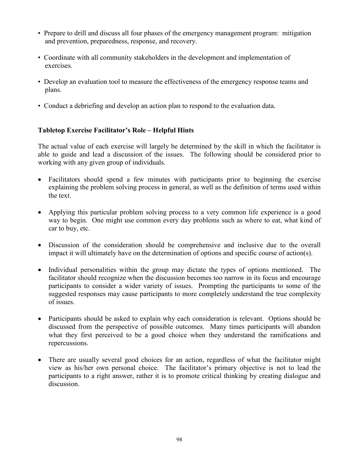- Prepare to drill and discuss all four phases of the emergency management program: mitigation and prevention, preparedness, response, and recovery.
- Coordinate with all community stakeholders in the development and implementation of exercises.
- Develop an evaluation tool to measure the effectiveness of the emergency response teams and plans.
- Conduct a debriefing and develop an action plan to respond to the evaluation data.

#### **Tabletop Exercise Facilitator's Role – Helpful Hints**

The actual value of each exercise will largely be determined by the skill in which the facilitator is able to guide and lead a discussion of the issues. The following should be considered prior to working with any given group of individuals.

- Facilitators should spend a few minutes with participants prior to beginning the exercise explaining the problem solving process in general, as well as the definition of terms used within the text.
- Applying this particular problem solving process to a very common life experience is a good way to begin. One might use common every day problems such as where to eat, what kind of car to buy, etc.
- Discussion of the consideration should be comprehensive and inclusive due to the overall impact it will ultimately have on the determination of options and specific course of action(s).
- Individual personalities within the group may dictate the types of options mentioned. The facilitator should recognize when the discussion becomes too narrow in its focus and encourage participants to consider a wider variety of issues. Prompting the participants to some of the suggested responses may cause participants to more completely understand the true complexity of issues.
- Participants should be asked to explain why each consideration is relevant. Options should be discussed from the perspective of possible outcomes. Many times participants will abandon what they first perceived to be a good choice when they understand the ramifications and repercussions.
- There are usually several good choices for an action, regardless of what the facilitator might view as his/her own personal choice. The facilitator's primary objective is not to lead the participants to a right answer, rather it is to promote critical thinking by creating dialogue and discussion.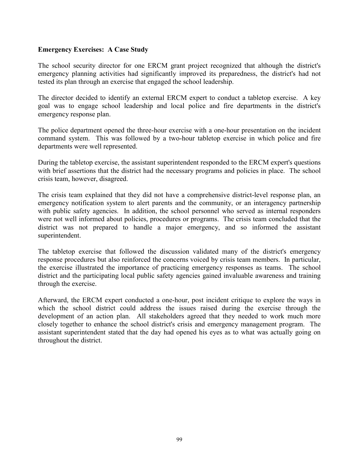#### **Emergency Exercises: A Case Study**

The school security director for one ERCM grant project recognized that although the district's emergency planning activities had significantly improved its preparedness, the district's had not tested its plan through an exercise that engaged the school leadership.

The director decided to identify an external ERCM expert to conduct a tabletop exercise. A key goal was to engage school leadership and local police and fire departments in the district's emergency response plan.

The police department opened the three-hour exercise with a one-hour presentation on the incident command system. This was followed by a two-hour tabletop exercise in which police and fire departments were well represented.

During the tabletop exercise, the assistant superintendent responded to the ERCM expert's questions with brief assertions that the district had the necessary programs and policies in place. The school crisis team, however, disagreed.

The crisis team explained that they did not have a comprehensive district-level response plan, an emergency notification system to alert parents and the community, or an interagency partnership with public safety agencies. In addition, the school personnel who served as internal responders were not well informed about policies, procedures or programs. The crisis team concluded that the district was not prepared to handle a major emergency, and so informed the assistant superintendent.

The tabletop exercise that followed the discussion validated many of the district's emergency response procedures but also reinforced the concerns voiced by crisis team members. In particular, the exercise illustrated the importance of practicing emergency responses as teams. The school district and the participating local public safety agencies gained invaluable awareness and training through the exercise.

Afterward, the ERCM expert conducted a one-hour, post incident critique to explore the ways in which the school district could address the issues raised during the exercise through the development of an action plan. All stakeholders agreed that they needed to work much more closely together to enhance the school district's crisis and emergency management program. The assistant superintendent stated that the day had opened his eyes as to what was actually going on throughout the district.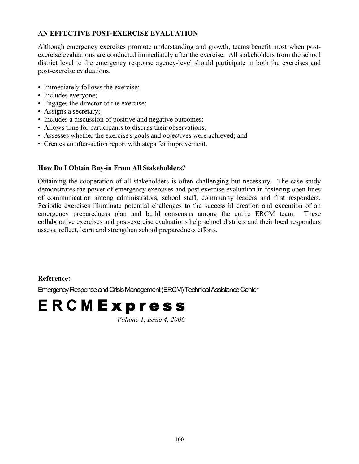#### **AN EFFECTIVE POST-EXERCISE EVALUATION**

Although emergency exercises promote understanding and growth, teams benefit most when postexercise evaluations are conducted immediately after the exercise. All stakeholders from the school district level to the emergency response agency-level should participate in both the exercises and post-exercise evaluations.

- Immediately follows the exercise;
- Includes everyone;
- Engages the director of the exercise;
- Assigns a secretary;
- Includes a discussion of positive and negative outcomes;
- Allows time for participants to discuss their observations;
- Assesses whether the exercise's goals and objectives were achieved; and
- Creates an after-action report with steps for improvement.

#### **How Do I Obtain Buy-in From All Stakeholders?**

Obtaining the cooperation of all stakeholders is often challenging but necessary. The case study demonstrates the power of emergency exercises and post exercise evaluation in fostering open lines of communication among administrators, school staff, community leaders and first responders. Periodic exercises illuminate potential challenges to the successful creation and execution of an emergency preparedness plan and build consensus among the entire ERCM team. These collaborative exercises and post-exercise evaluations help school districts and their local responders assess, reflect, learn and strengthen school preparedness efforts.

#### **Reference:**

Emergency Response and Crisis Management (ERCM) Technical Assistance Center

# **E R C M** E x p r e s s

*Volume 1, Issue 4, 2006*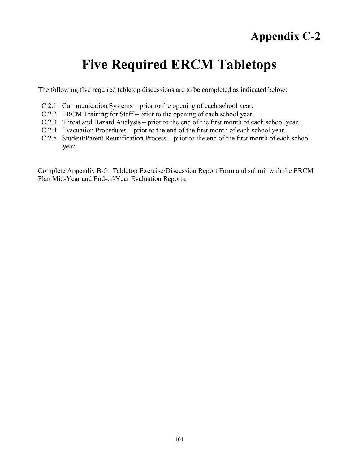### **Appendix C-2**

## **Five Required ERCM Tabletops**

The following five required tabletop discussions are to be completed as indicated below:

- C.2.1 Communication Systems prior to the opening of each school year.
- C.2.2 ERCM Training for Staff prior to the opening of each school year.
- C.2.3 Threat and Hazard Analysis prior to the end of the first month of each school year.
- C.2.4 Evacuation Procedures prior to the end of the first month of each school year.
- C.2.5 Student/Parent Reunification Process prior to the end of the first month of each school year.

Complete Appendix B-5: Tabletop Exercise/Discussion Report Form and submit with the ERCM Plan Mid-Year and End-of-Year Evaluation Reports.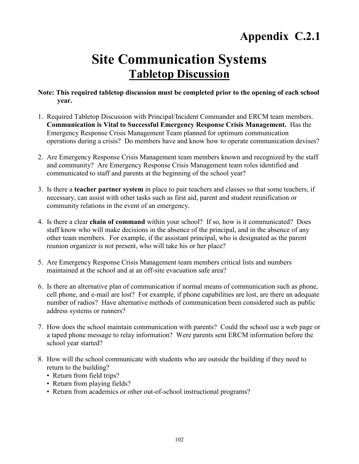### **Site Communication Systems Tabletop Discussion**

#### **Note: This required tabletop discussion must be completed prior to the opening of each school year.**

- 1. Required Tabletop Discussion with Principal/Incident Commander and ERCM team members. **Communication is Vital to Successful Emergency Response Crisis Management.** Has the Emergency Response Crisis Management Team planned for optimum communication operations during a crisis? Do members have and know how to operate communication devises?
- 2. Are Emergency Response Crisis Management team members known and recognized by the staff and community? Are Emergency Response Crisis Management team roles identified and communicated to staff and parents at the beginning of the school year?
- 3. Is there a **teacher partner system** in place to pair teachers and classes so that some teachers, if necessary, can assist with other tasks such as first aid, parent and student reunification or community relations in the event of an emergency.
- 4. Is there a clear **chain of command** within your school? If so, how is it communicated? Does staff know who will make decisions in the absence of the principal, and in the absence of any other team members. For example, if the assistant principal, who is designated as the parent reunion organizer is not present, who will take his or her place?
- 5. Are Emergency Response Crisis Management team members critical lists and numbers maintained at the school and at an off-site evacuation safe area?
- 6. Is there an alternative plan of communication if normal means of communication such as phone, cell phone, and e-mail are lost? For example, if phone capabilities are lost, are there an adequate number of radios? Have alternative methods of communication been considered such as public address systems or runners?
- 7. How does the school maintain communication with parents? Could the school use a web page or a taped phone message to relay information? Were parents sent ERCM information before the school year started?
- 8. How will the school communicate with students who are outside the building if they need to return to the building?
	- Return from field trips?
	- Return from playing fields?
	- Return from academics or other out-of-school instructional programs?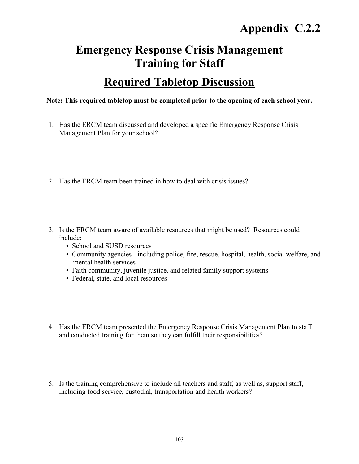### **Emergency Response Crisis Management Training for Staff**

### **Required Tabletop Discussion**

#### **Note: This required tabletop must be completed prior to the opening of each school year.**

- 1. Has the ERCM team discussed and developed a specific Emergency Response Crisis Management Plan for your school?
- 2. Has the ERCM team been trained in how to deal with crisis issues?
- 3. Is the ERCM team aware of available resources that might be used? Resources could include:
	- School and SUSD resources
	- Community agencies including police, fire, rescue, hospital, health, social welfare, and mental health services
	- Faith community, juvenile justice, and related family support systems
	- Federal, state, and local resources
- 4. Has the ERCM team presented the Emergency Response Crisis Management Plan to staff and conducted training for them so they can fulfill their responsibilities?
- 5. Is the training comprehensive to include all teachers and staff, as well as, support staff, including food service, custodial, transportation and health workers?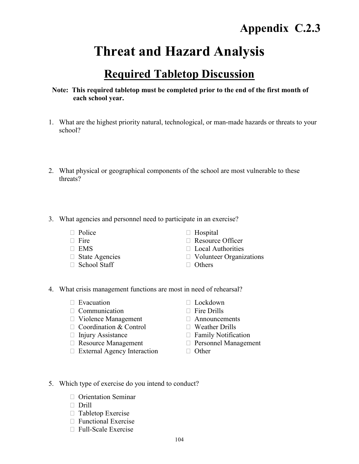### **Threat and Hazard Analysis**

### **Required Tabletop Discussion**

#### **Note: This required tabletop must be completed prior to the end of the first month of each school year.**

- 1. What are the highest priority natural, technological, or man-made hazards or threats to your school?
- 2. What physical or geographical components of the school are most vulnerable to these threats?
- 3. What agencies and personnel need to participate in an exercise?
	-
	-
	-
	-
	- $\Box$  School Staff  $\Box$  Others
	- $\Box$  Police  $\Box$  Hospital
	- $\Box$  Fire  $\Box$  Resource Officer
	- $\Box$  EMS  $\Box$  Local Authorities
	- $\Box$  State Agencies  $\Box$  Volunteer Organizations
		-
- 4. What crisis management functions are most in need of rehearsal?
	- $\Box$  Evacuation  $\Box$  Lockdown
	- $\Box$  Communication  $\Box$  Fire Drills
	- $\Box$  Violence Management  $\Box$  Announcements
	- $\Box$  Coordination & Control  $\Box$  Weather Drills
	-
	- $\Box$  Resource Management  $\Box$  Personnel Management
	- $\Box$  External Agency Interaction  $\Box$  Other
- 
- 
- 
- - $\Box$  Injury Assistance  $\Box$  Family Notification
		-
		-
- 5. Which type of exercise do you intend to conduct?
	- □ Orientation Seminar
	- Drill
	- $\Box$  Tabletop Exercise
	- $\Box$  Functional Exercise
	- $\Box$  Full-Scale Exercise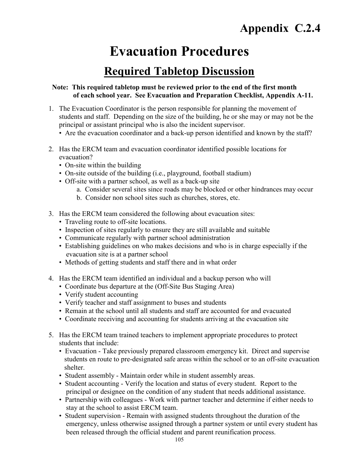### **Evacuation Procedures**

### **Required Tabletop Discussion**

#### **Note: This required tabletop must be reviewed prior to the end of the first month of each school year. See Evacuation and Preparation Checklist, Appendix A-11.**

- 1. The Evacuation Coordinator is the person responsible for planning the movement of students and staff. Depending on the size of the building, he or she may or may not be the principal or assistant principal who is also the incident supervisor.
	- Are the evacuation coordinator and a back-up person identified and known by the staff?
- 2. Has the ERCM team and evacuation coordinator identified possible locations for evacuation?
	- On-site within the building
	- On-site outside of the building (i.e., playground, football stadium)
	- Off-site with a partner school, as well as a back-up site
		- a. Consider several sites since roads may be blocked or other hindrances may occur
		- b. Consider non school sites such as churches, stores, etc.
- 3. Has the ERCM team considered the following about evacuation sites:
	- Traveling route to off-site locations.
	- Inspection of sites regularly to ensure they are still available and suitable
	- Communicate regularly with partner school administration
	- Establishing guidelines on who makes decisions and who is in charge especially if the evacuation site is at a partner school
	- Methods of getting students and staff there and in what order
- 4. Has the ERCM team identified an individual and a backup person who will
	- Coordinate bus departure at the (Off-Site Bus Staging Area)
	- Verify student accounting
	- Verify teacher and staff assignment to buses and students
	- Remain at the school until all students and staff are accounted for and evacuated
	- Coordinate receiving and accounting for students arriving at the evacuation site
- 5. Has the ERCM team trained teachers to implement appropriate procedures to protect students that include:
	- Evacuation Take previously prepared classroom emergency kit. Direct and supervise students en route to pre-designated safe areas within the school or to an off-site evacuation shelter.
	- Student assembly Maintain order while in student assembly areas.
	- Student accounting Verify the location and status of every student. Report to the principal or designee on the condition of any student that needs additional assistance.
	- Partnership with colleagues Work with partner teacher and determine if either needs to stay at the school to assist ERCM team.
	- Student supervision Remain with assigned students throughout the duration of the emergency, unless otherwise assigned through a partner system or until every student has been released through the official student and parent reunification process.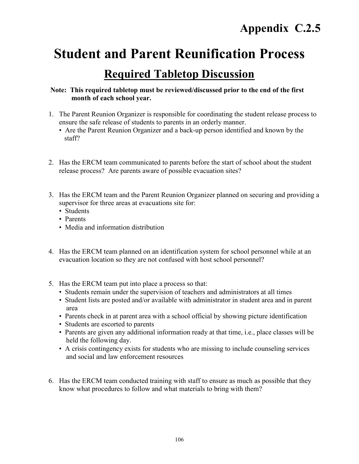## **Student and Parent Reunification Process**

### **Required Tabletop Discussion**

### **Note: This required tabletop must be reviewed/discussed prior to the end of the first month of each school year.**

- 1. The Parent Reunion Organizer is responsible for coordinating the student release process to ensure the safe release of students to parents in an orderly manner.
	- Are the Parent Reunion Organizer and a back-up person identified and known by the staff?
- 2. Has the ERCM team communicated to parents before the start of school about the student release process? Are parents aware of possible evacuation sites?
- 3. Has the ERCM team and the Parent Reunion Organizer planned on securing and providing a supervisor for three areas at evacuations site for:
	- Students
	- Parents
	- Media and information distribution
- 4. Has the ERCM team planned on an identification system for school personnel while at an evacuation location so they are not confused with host school personnel?
- 5. Has the ERCM team put into place a process so that:
	- Students remain under the supervision of teachers and administrators at all times
	- Student lists are posted and/or available with administrator in student area and in parent area
	- Parents check in at parent area with a school official by showing picture identification
	- Students are escorted to parents
	- Parents are given any additional information ready at that time, i.e., place classes will be held the following day.
	- A crisis contingency exists for students who are missing to include counseling services and social and law enforcement resources
- 6. Has the ERCM team conducted training with staff to ensure as much as possible that they know what procedures to follow and what materials to bring with them?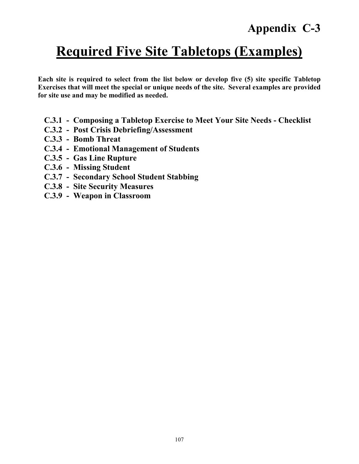### **Appendix C-3**

# **Required Five Site Tabletops (Examples)**

**Each site is required to select from the list below or develop five (5) site specific Tabletop Exercises that will meet the special or unique needs of the site. Several examples are provided for site use and may be modified as needed.**

- **C.3.1 Composing a Tabletop Exercise to Meet Your Site Needs Checklist**
- **C.3.2 Post Crisis Debriefing/Assessment**
- **C.3.3 Bomb Threat**
- **C.3.4 Emotional Management of Students**
- **C.3.5 Gas Line Rupture**
- **C.3.6 Missing Student**
- **C.3.7 Secondary School Student Stabbing**
- **C.3.8 Site Security Measures**
- **C.3.9 Weapon in Classroom**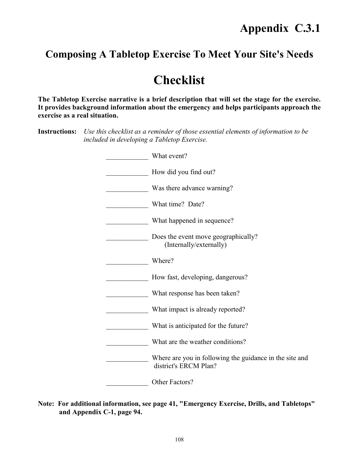### **Composing A Tabletop Exercise To Meet Your Site's Needs**

### **Checklist**

**The Tabletop Exercise narrative is a brief description that will set the stage for the exercise. It provides background information about the emergency and helps participants approach the exercise as a real situation.**

**Instructions:** *Use this checklist as a reminder of those essential elements of information to be included in developing a Tabletop Exercise.*

| What event?                                                                      |
|----------------------------------------------------------------------------------|
| How did you find out?                                                            |
| Was there advance warning?                                                       |
| What time? Date?                                                                 |
| What happened in sequence?                                                       |
| Does the event move geographically?<br>(Internally/externally)                   |
| Where?                                                                           |
| How fast, developing, dangerous?                                                 |
| What response has been taken?                                                    |
| What impact is already reported?                                                 |
| What is anticipated for the future?                                              |
| What are the weather conditions?                                                 |
| Where are you in following the guidance in the site and<br>district's ERCM Plan? |
| Other Factors?                                                                   |

**Note: For additional information, see page 41, "Emergency Exercise, Drills, and Tabletops" and Appendix C-1, page 94.**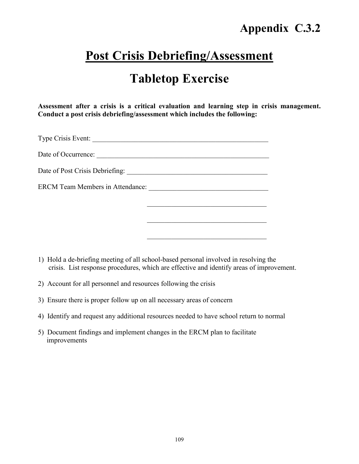### **Post Crisis Debriefing/Assessment**

### **Tabletop Exercise**

**Assessment after a crisis is a critical evaluation and learning step in crisis management. Conduct a post crisis debriefing/assessment which includes the following:**

 $\mathcal{L}_\text{max}$  , and the set of the set of the set of the set of the set of the set of the set of the set of the set of the set of the set of the set of the set of the set of the set of the set of the set of the set of the

 $\mathcal{L}_\text{max}$  , and the set of the set of the set of the set of the set of the set of the set of the set of the set of the set of the set of the set of the set of the set of the set of the set of the set of the set of the

 $\mathcal{L}_\text{max}$ 

Type Crisis Event: \_\_\_\_\_\_\_\_\_\_\_\_\_\_\_\_\_\_\_\_\_\_\_\_\_\_\_\_\_\_\_\_\_\_\_\_\_\_\_\_\_\_\_\_\_\_\_\_\_\_

Date of Occurrence: \_\_\_\_\_\_\_\_\_\_\_\_\_\_\_\_\_\_\_\_\_\_\_\_\_\_\_\_\_\_\_\_\_\_\_\_\_\_\_\_\_\_\_\_\_\_\_\_\_

Date of Post Crisis Debriefing: \_\_\_\_\_\_\_\_\_\_\_\_\_\_\_\_\_\_\_\_\_\_\_\_\_\_\_\_\_\_\_\_\_\_\_\_\_\_\_\_

ERCM Team Members in Attendance: \_\_\_\_\_\_\_\_\_\_\_\_\_\_\_\_\_\_\_\_\_\_\_\_\_\_\_\_\_\_\_\_\_\_

- 1) Hold a de-briefing meeting of all school-based personal involved in resolving the crisis. List response procedures, which are effective and identify areas of improvement.
- 2) Account for all personnel and resources following the crisis
- 3) Ensure there is proper follow up on all necessary areas of concern
- 4) Identify and request any additional resources needed to have school return to normal
- 5) Document findings and implement changes in the ERCM plan to facilitate improvements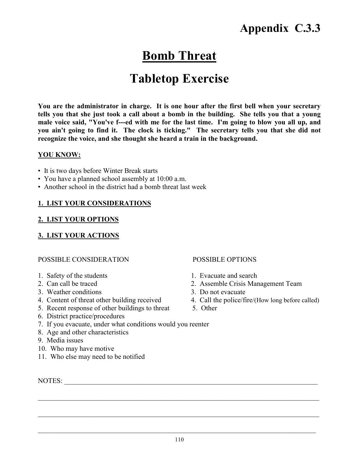### **Bomb Threat**

### **Tabletop Exercise**

**You are the administrator in charge. It is one hour after the first bell when your secretary tells you that she just took a call about a bomb in the building. She tells you that a young male voice said, "You've f---ed with me for the last time. I'm going to blow you all up, and you ain't going to find it. The clock is ticking." The secretary tells you that she did not recognize the voice, and she thought she heard a train in the background.**

#### **YOU KNOW:**

- It is two days before Winter Break starts
- You have a planned school assembly at 10:00 a.m.
- Another school in the district had a bomb threat last week

#### **1. LIST YOUR CONSIDERATIONS**

#### **2. LIST YOUR OPTIONS**

#### **3. LIST YOUR ACTIONS**

#### POSSIBLE CONSIDERATION POSSIBLE OPTIONS

- 1. Safety of the students 1. Evacuate and search
- 
- 3. Weather conditions 3. Do not evacuate
- 
- 
- 
- 2. Can call be traced 2. Assemble Crisis Management Team
	-
- 4. Content of threat other building received 4. Call the police/fire/(How long before called)
- 5. Recent response of other buildings to threat 5. Other
- 6. District practice/procedures
- 7. If you evacuate, under what conditions would you reenter
- 8. Age and other characteristics
- 9. Media issues
- 10. Who may have motive
- 11. Who else may need to be notified

NOTES:

 $\mathcal{L}_\mathcal{L} = \{ \mathcal{L}_\mathcal{L} = \{ \mathcal{L}_\mathcal{L} = \{ \mathcal{L}_\mathcal{L} = \{ \mathcal{L}_\mathcal{L} = \{ \mathcal{L}_\mathcal{L} = \{ \mathcal{L}_\mathcal{L} = \{ \mathcal{L}_\mathcal{L} = \{ \mathcal{L}_\mathcal{L} = \{ \mathcal{L}_\mathcal{L} = \{ \mathcal{L}_\mathcal{L} = \{ \mathcal{L}_\mathcal{L} = \{ \mathcal{L}_\mathcal{L} = \{ \mathcal{L}_\mathcal{L} = \{ \mathcal{L}_\mathcal{$ 

 $\_$  , and the contribution of the contribution of the contribution of the contribution of  $\mathcal{L}_\text{max}$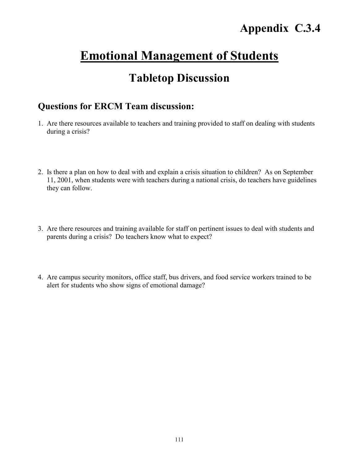### **Emotional Management of Students**

### **Tabletop Discussion**

### **Questions for ERCM Team discussion:**

- 1. Are there resources available to teachers and training provided to staff on dealing with students during a crisis?
- 2. Is there a plan on how to deal with and explain a crisis situation to children? As on September 11, 2001, when students were with teachers during a national crisis, do teachers have guidelines they can follow.
- 3. Are there resources and training available for staff on pertinent issues to deal with students and parents during a crisis? Do teachers know what to expect?
- 4. Are campus security monitors, office staff, bus drivers, and food service workers trained to be alert for students who show signs of emotional damage?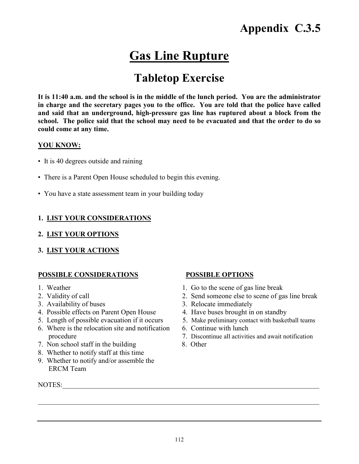### **Gas Line Rupture**

### **Tabletop Exercise**

**It is 11:40 a.m. and the school is in the middle of the lunch period. You are the administrator in charge and the secretary pages you to the office. You are told that the police have called and said that an underground, high-pressure gas line has ruptured about a block from the school. The police said that the school may need to be evacuated and that the order to do so could come at any time.**

#### **YOU KNOW:**

- It is 40 degrees outside and raining
- There is a Parent Open House scheduled to begin this evening.
- You have a state assessment team in your building today

#### **1. LIST YOUR CONSIDERATIONS**

- **2. LIST YOUR OPTIONS**
- **3. LIST YOUR ACTIONS**

#### **POSSIBLE CONSIDERATIONS POSSIBLE OPTIONS**

- 
- 
- 
- 4. Possible effects on Parent Open House 4. Have buses brought in on standby
- 
- 6. Where is the relocation site and notification 6. Continue with lunch
- 7. Non school staff in the building 8. Other
- 8. Whether to notify staff at this time
- 9. Whether to notify and/or assemble the ERCM Team

NOTES:\_\_\_\_\_\_\_\_\_\_\_\_\_\_\_\_\_\_\_\_\_\_\_\_\_\_\_\_\_\_\_\_\_\_\_\_\_\_\_\_\_\_\_\_\_\_\_\_\_\_\_\_\_\_\_\_\_\_\_\_\_\_\_\_\_\_\_\_\_\_\_\_\_

- 1. Weather 1. Go to the scene of gas line break
- 2. Validity of call 2. Send someone else to scene of gas line break
- 3. Availability of buses 3. Relocate immediately
	-
- 5. Length of possible evacuation if it occurs 5. Make preliminary contact with basketball teams
	-
	- procedure 7. Discontinue all activities and await notification
		-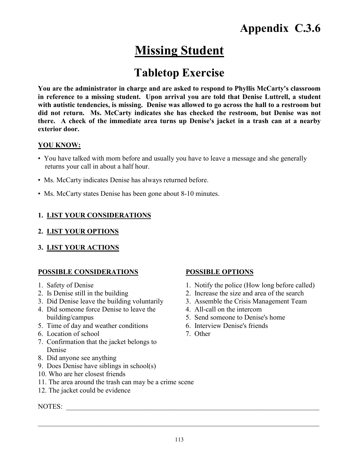### **Missing Student**

### **Tabletop Exercise**

**You are the administrator in charge and are asked to respond to Phyllis McCarty's classroom in reference to a missing student. Upon arrival you are told that Denise Luttrell, a student with autistic tendencies, is missing. Denise was allowed to go across the hall to a restroom but did not return. Ms. McCarty indicates she has checked the restroom, but Denise was not there. A check of the immediate area turns up Denise's jacket in a trash can at a nearby exterior door.**

#### **YOU KNOW:**

- You have talked with mom before and usually you have to leave a message and she generally returns your call in about a half hour.
- Ms. McCarty indicates Denise has always returned before.
- Ms. McCarty states Denise has been gone about 8-10 minutes.

#### **1. LIST YOUR CONSIDERATIONS**

#### **2. LIST YOUR OPTIONS**

**3. LIST YOUR ACTIONS**

#### **POSSIBLE CONSIDERATIONS POSSIBLE OPTIONS**

- 
- 
- 3. Did Denise leave the building voluntarily 3. Assemble the Crisis Management Team
- 4. Did someone force Denise to leave the 4. All-call on the intercom building/campus 5. Send someone to Denise's home
- 5. Time of day and weather conditions 6. Interview Denise's friends
- 6. Location of school 7. Other
- 7. Confirmation that the jacket belongs to Denise
- 8. Did anyone see anything
- 9. Does Denise have siblings in school(s)
- 10. Who are her closest friends
- 11. The area around the trash can may be a crime scene
- 12. The jacket could be evidence

#### NOTES:

- 1. Safety of Denise 1. Notify the police (How long before called)
- 2. Is Denise still in the building 2. Increase the size and area of the search
	-
	-
	-
	-
	-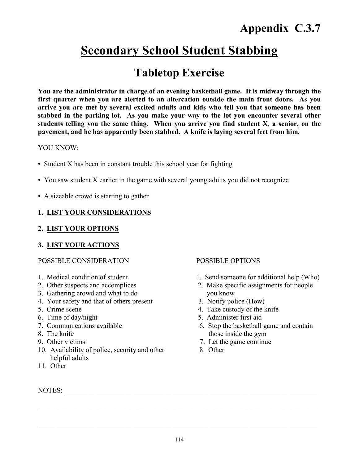### **Secondary School Student Stabbing**

### **Tabletop Exercise**

**You are the administrator in charge of an evening basketball game. It is midway through the first quarter when you are alerted to an altercation outside the main front doors. As you arrive you are met by several excited adults and kids who tell you that someone has been stabbed in the parking lot. As you make your way to the lot you encounter several other students telling you the same thing. When you arrive you find student X, a senior, on the pavement, and he has apparently been stabbed. A knife is laying several feet from him.**

#### YOU KNOW:

- Student X has been in constant trouble this school year for fighting
- You saw student X earlier in the game with several young adults you did not recognize
- A sizeable crowd is starting to gather

#### **1. LIST YOUR CONSIDERATIONS**

#### **2. LIST YOUR OPTIONS**

#### **3. LIST YOUR ACTIONS**

#### POSSIBLE CONSIDERATION POSSIBLE OPTIONS

- 1. Medical condition of student 1. Send someone for additional help (Who)
- 2. Other suspects and accomplices 2. Make specific assignments for people
- 3. Gathering crowd and what to do you know
- 4. Your safety and that of others present 3. Notify police (How)
- 
- 
- 
- 
- 
- 10. Availability of police, security and other 8. Other helpful adults
- 11. Other

- 
- 
- 
- 5. Crime scene 4. Take custody of the knife
- 6. Time of day/night 5. Administer first aid
- 7. Communications available 6. Stop the basketball game and contain 8. The knife those inside the gym
- 9. Other victims 7. Let the game continue
	-

NOTES:

 $\_$  , and the contribution of the contribution of the contribution of the contribution of  $\mathcal{L}_\text{max}$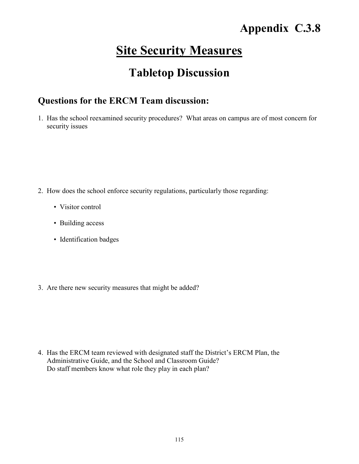### **Site Security Measures**

### **Tabletop Discussion**

### **Questions for the ERCM Team discussion:**

1. Has the school reexamined security procedures? What areas on campus are of most concern for security issues

- 2. How does the school enforce security regulations, particularly those regarding:
	- Visitor control
	- Building access
	- Identification badges
- 3. Are there new security measures that might be added?

4. Has the ERCM team reviewed with designated staff the District's ERCM Plan, the Administrative Guide, and the School and Classroom Guide? Do staff members know what role they play in each plan?